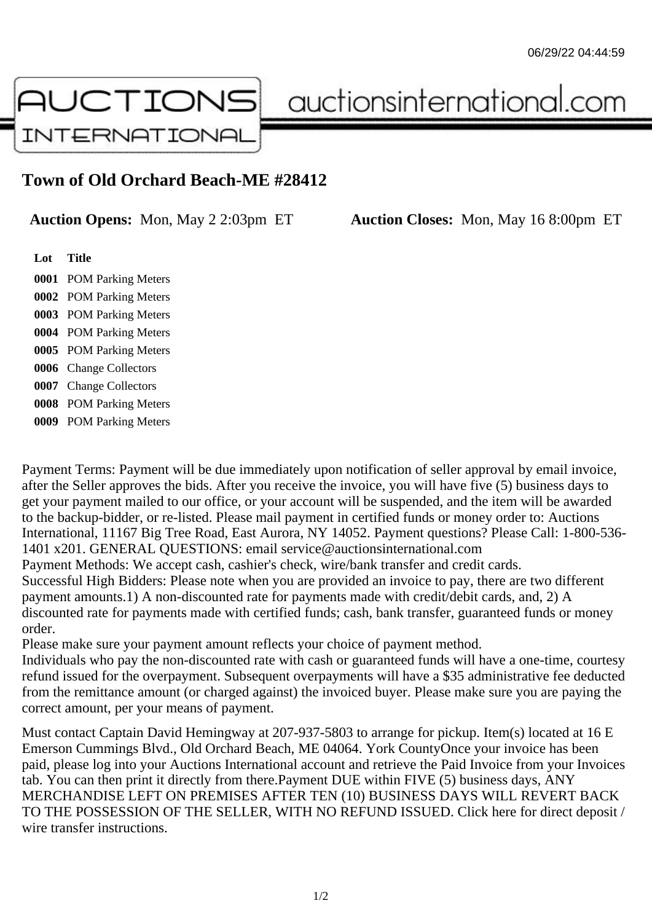

auctionsinternational.com

## **Town of Old Orchard Beach-ME #28412**

**Auction Opens:** Mon, May 2 2:03pm ET **Auction Closes:** Mon, May 16 8:00pm ET

**Lot Title** POM Parking Meters POM Parking Meters POM Parking Meters POM Parking Meters POM Parking Meters Change Collectors Change Collectors POM Parking Meters POM Parking Meters

Payment Terms: Payment will be due immediately upon notification of seller approval by email invoice, after the Seller approves the bids. After you receive the invoice, you will have five (5) business days to get your payment mailed to our office, or your account will be suspended, and the item will be awarded to the backup-bidder, or re-listed. Please mail payment in certified funds or money order to: Auctions International, 11167 Big Tree Road, East Aurora, NY 14052. Payment questions? Please Call: 1-800-536- 1401 x201. GENERAL QUESTIONS: email service@auctionsinternational.com Payment Methods: We accept cash, cashier's check, wire/bank transfer and credit cards. Successful High Bidders: Please note when you are provided an invoice to pay, there are two different payment amounts.1) A non-discounted rate for payments made with credit/debit cards, and, 2) A discounted rate for payments made with certified funds; cash, bank transfer, guaranteed funds or money order.

Please make sure your payment amount reflects your choice of payment method.

Individuals who pay the non-discounted rate with cash or guaranteed funds will have a one-time, courtesy refund issued for the overpayment. Subsequent overpayments will have a \$35 administrative fee deducted from the remittance amount (or charged against) the invoiced buyer. Please make sure you are paying the correct amount, per your means of payment.

Must contact Captain David Hemingway at 207-937-5803 to arrange for pickup. Item(s) located at 16 E Emerson Cummings Blvd., Old Orchard Beach, ME 04064. York CountyOnce your invoice has been paid, please log into your Auctions International account and retrieve the Paid Invoice from your Invoices tab. You can then print it directly from there.Payment DUE within FIVE (5) business days, ANY MERCHANDISE LEFT ON PREMISES AFTER TEN (10) BUSINESS DAYS WILL REVERT BACK TO THE POSSESSION OF THE SELLER, WITH NO REFUND ISSUED. Click here for direct deposit / wire transfer instructions.